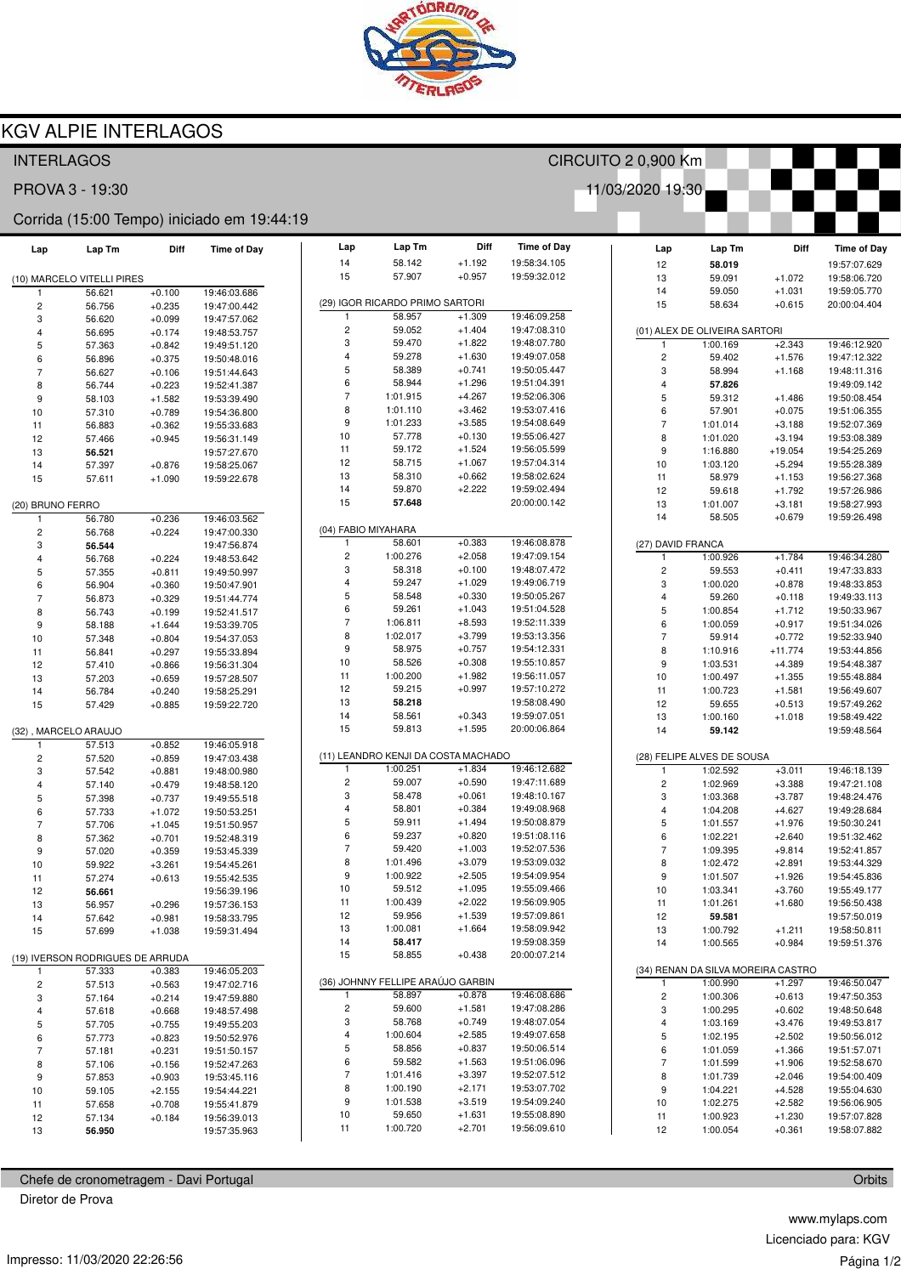

# **KGV ALPIE INTERLAGOS**

## **INTERLAGOS**

PROVA 3 - 19:30

### Corrida (15:00 Tempo) iniciado em 19:44:19

| Lap                     | Lap Tm                               | Diff                 | <b>Time of Day</b>           | Lap                     | Lap Tm                            | Diff                 |
|-------------------------|--------------------------------------|----------------------|------------------------------|-------------------------|-----------------------------------|----------------------|
|                         |                                      |                      |                              | 14<br>15                | 58.142<br>57.907                  | $+1.192$<br>$+0.957$ |
| 1                       | (10) MARCELO VITELLI PIRES<br>56.621 | $+0.100$             | 19:46:03.686                 |                         |                                   |                      |
| $\overline{\mathbf{c}}$ | 56.756                               | $+0.235$             | 19:47:00.442                 |                         | (29) IGOR RICARDO PRIMO SARTORI   |                      |
| 3                       | 56.620                               | $+0.099$             | 19:47:57.062                 | 1                       | 58.957                            | $+1.309$             |
| 4                       | 56.695                               | $+0.174$             | 19:48:53.757                 | $\overline{\mathbf{c}}$ | 59.052                            | $+1.404$             |
| 5                       | 57.363                               | $+0.842$             | 19:49:51.120                 | 3                       | 59.470                            | $+1.822$             |
| 6                       | 56.896                               | $+0.375$             | 19:50:48.016                 | 4                       | 59.278                            | $+1.630$             |
| $\overline{7}$          | 56.627                               | $+0.106$             | 19:51:44.643                 | 5                       | 58.389                            | $+0.741$             |
| 8                       | 56.744                               | $+0.223$             | 19:52:41.387                 | 6                       | 58.944                            | $+1.296$             |
| 9                       | 58.103                               | $+1.582$             | 19:53:39.490                 | $\overline{7}$<br>8     | 1:01.915<br>1:01.110              | $+4.267$             |
| 10                      | 57.310                               | $+0.789$             | 19:54:36.800                 | 9                       | 1:01.233                          | $+3.462$<br>$+3.585$ |
| 11                      | 56.883                               | $+0.362$             | 19:55:33.683                 | 10                      | 57.778                            | $+0.130$             |
| 12                      | 57.466                               | $+0.945$             | 19:56:31.149<br>19:57:27.670 | 11                      | 59.172                            | $+1.524$             |
| 13<br>14                | 56.521<br>57.397                     | $+0.876$             | 19:58:25.067                 | 12                      | 58.715                            | $+1.067$             |
| 15                      | 57.611                               | $+1.090$             | 19:59:22.678                 | 13                      | 58.310                            | $+0.662$             |
|                         |                                      |                      |                              | 14                      | 59.870                            | $+2.222$             |
| (20) BRUNO FERRO        |                                      |                      |                              | 15                      | 57.648                            |                      |
| 1                       | 56.780                               | $+0.236$             | 19:46:03.562                 |                         |                                   |                      |
| $\overline{\mathbf{c}}$ | 56.768                               | $+0.224$             | 19:47:00.330                 | (04) FABIO MIYAHARA     |                                   |                      |
| 3                       | 56.544                               |                      | 19:47:56.874                 | 1                       | 58.601                            | $+0.383$             |
| $\overline{\mathbf{4}}$ | 56.768                               | $+0.224$             | 19:48:53.642                 | 2                       | 1:00.276                          | $+2.058$             |
| 5                       | 57.355                               | $+0.811$             | 19:49:50.997                 | 3                       | 58.318                            | $+0.100$             |
| 6                       | 56.904                               | $+0.360$             | 19:50:47.901                 | 4                       | 59.247                            | $+1.029$             |
| $\overline{7}$          | 56.873                               | $+0.329$             | 19:51:44.774                 | 5                       | 58.548                            | $+0.330$             |
| 8                       | 56.743                               | $+0.199$             | 19:52:41.517                 | 6<br>$\overline{7}$     | 59.261                            | $+1.043$             |
| 9                       | 58.188                               | $+1.644$             | 19:53:39.705                 | 8                       | 1:06.811<br>1:02.017              | $+8.593$<br>$+3.799$ |
| 10                      | 57.348                               | $+0.804$             | 19:54:37.053                 | 9                       | 58.975                            | $+0.757$             |
| 11                      | 56.841                               | $+0.297$             | 19:55:33.894                 | 10                      | 58.526                            | $+0.308$             |
| 12<br>13                | 57.410<br>57.203                     | $+0.866$<br>$+0.659$ | 19:56:31.304<br>19:57:28.507 | 11                      | 1:00.200                          | $+1.982$             |
| 14                      | 56.784                               | $+0.240$             | 19:58:25.291                 | 12                      | 59.215                            | $+0.997$             |
| 15                      | 57.429                               | $+0.885$             | 19:59:22.720                 | 13                      | 58.218                            |                      |
|                         |                                      |                      |                              | 14                      | 58.561                            | $+0.343$             |
|                         | (32), MARCELO ARAUJO                 |                      |                              | 15                      | 59.813                            | $+1.595$             |
| 1                       | 57.513                               | $+0.852$             | 19:46:05.918                 |                         |                                   |                      |
| $\overline{c}$          | 57.520                               | $+0.859$             | 19:47:03.438                 |                         | (11) LEANDRO KENJI DA COSTA MACHA |                      |
| 3                       | 57.542                               | $+0.881$             | 19:48:00.980                 | 1                       | 1:00.251                          | $+1.834$             |
| 4                       | 57.140                               | $+0.479$             | 19:48:58.120                 | $\overline{\mathbf{c}}$ | 59.007                            | $+0.590$             |
| 5                       | 57.398                               | $+0.737$             | 19:49:55.518                 | 3                       | 58.478                            | $+0.061$             |
| 6                       | 57.733                               | $+1.072$             | 19:50:53.251                 | 4                       | 58.801                            | $+0.384$             |
| $\overline{7}$          | 57.706                               | $+1.045$             | 19:51:50.957                 | 5                       | 59.911                            | $+1.494$             |
| 8                       | 57.362                               | $+0.701$             | 19:52:48.319                 | 6<br>$\overline{7}$     | 59.237                            | $+0.820$             |
| 9                       | 57.020                               | $+0.359$             | 19:53:45.339                 | 8                       | 59.420                            | $+1.003$<br>$+3.079$ |
| 10                      | 59.922                               | $+3.261$             | 19:54:45.261                 | 9                       | 1:01.496<br>1:00.922              | $+2.505$             |
| 11                      | 57.274                               | $+0.613$             | 19:55:42.535                 | 10                      | 59.512                            | $+1.095$             |
| 12<br>13                | 56.661<br>56.957                     | $+0.296$             | 19:56:39.196<br>19:57:36.153 | 11                      | 1:00.439                          | $+2.022$             |
| 14                      | 57.642                               | +0.981               | 19:58:33.795                 | 12                      | 59.956                            | $+1.539$             |
| 15                      | 57.699                               | $+1.038$             | 19:59:31.494                 | 13                      | 1:00.081                          | $+1.664$             |
|                         |                                      |                      |                              | 14                      | 58.417                            |                      |
|                         | (19) IVERSON RODRIGUES DE ARRUDA     |                      |                              | 15                      | 58.855                            | $+0.438$             |
| 1                       | 57.333                               | $+0.383$             | 19:46:05.203                 |                         |                                   |                      |
| $\overline{\mathbf{c}}$ | 57.513                               | $+0.563$             | 19:47:02.716                 |                         | (36) JOHNNY FELLIPE ARAÚJO GARBIN |                      |
| 3                       | 57.164                               | $+0.214$             | 19:47:59.880                 | 1                       | 58.897                            | $+0.878$             |
| 4                       | 57.618                               | $+0.668$             | 19:48:57.498                 | 2                       | 59.600                            | $+1.581$             |
| 5                       | 57.705                               | $+0.755$             | 19:49:55.203                 | 3                       | 58.768                            | $+0.749$             |
| 6                       | 57.773                               | $+0.823$             | 19:50:52.976                 | 4                       | 1:00.604                          | $+2.585$             |
| 7                       | 57.181                               | $+0.231$             | 19:51:50.157                 | 5                       | 58.856                            | $+0.837$             |
| 8                       | 57.106                               | $+0.156$             | 19:52:47.263                 | 6                       | 59.582                            | $+1.563$             |
| 9                       | 57.853                               | $+0.903$             | 19:53:45.116                 | 7<br>8                  | 1:01.416<br>1:00.190              | $+3.397$<br>$+2.171$ |
| 10                      | 59.105                               | $+2.155$             | 19:54:44.221                 | 9                       | 1:01.538                          | $+3.519$             |
| 11                      | 57.658                               | $+0.708$             | 19:55:41.879                 | 10                      | 59.650                            | $+1.631$             |
| 12<br>13                | 57.134                               | $+0.184$             | 19:56:39.013<br>19:57:35.963 | 11                      | 1:00.720                          | $+2.701$             |
|                         | 56.950                               |                      |                              |                         |                                   |                      |

| Chefe de cronometragem - Davi Portugal |  |
|----------------------------------------|--|
|                                        |  |

Diretor de Prova

|                |                              | 14                | 59.050                             | +1.031               |
|----------------|------------------------------|-------------------|------------------------------------|----------------------|
| TORI           |                              | 15                | 58.634                             | $+0.615$             |
| 1.309          | 19:46:09.258                 |                   |                                    |                      |
| 1.404          | 19:47:08.310                 |                   | (01) ALEX DE OLIVEIRA SARTORI      |                      |
| 1.822          | 19:48:07.780                 | 1                 | 1:00.169                           | $+2.343$             |
| 1.630          | 19:49:07.058                 | 2                 | 59.402                             | $+1.576$             |
| 0.741          | 19:50:05.447                 | 3                 | 58.994                             | $+1.168$             |
| 1.296          | 19:51:04.391                 | 4                 | 57.826                             |                      |
| 4.267          | 19:52:06.306                 | 5                 | 59.312                             | +1.486               |
| 3.462          | 19:53:07.416                 | 6                 | 57.901                             | $+0.075$             |
| 3.585          | 19:54:08.649                 | 7                 | 1:01.014                           | $+3.188$             |
| 0.130          | 19:55:06.427                 | 8                 | 1:01.020                           | $+3.194$             |
| 1.524          | 19:56:05.599                 | 9                 | 1:16.880                           | $+19.054$            |
| 1.067          | 19:57:04.314                 | 10                | 1:03.120                           | $+5.294$             |
| 0.662          | 19:58:02.624                 | 11                | 58.979                             | $+1.153$             |
| 2.222          | 19:59:02.494                 | 12                | 59.618                             | $+1.792$             |
|                | 20:00:00.142                 | 13                | 1:01.007                           | $+3.181$             |
|                |                              | 14                | 58.505                             | $+0.679$             |
|                |                              |                   |                                    |                      |
| 0.383          | 19:46:08.878                 | (27) DAVID FRANCA |                                    |                      |
| 2.058          | 19:47:09.154                 | 1                 | 1:00.926                           | $+1.784$             |
| 0.100          | 19:48:07.472                 | 2                 | 59.553                             | $+0.411$             |
| 1.029          | 19:49:06.719                 | 3                 | 1:00.020                           | $+0.878$             |
| 0.330          | 19:50:05.267                 | 4                 | 59.260                             | +0.118               |
| 1.043          | 19:51:04.528                 | 5                 | 1:00.854                           | $+1.712$             |
| 8.593          | 19:52:11.339                 | 6                 | 1:00.059                           | $+0.917$             |
| 3.799          | 19:53:13.356                 | 7                 | 59.914                             | $+0.772$             |
| 0.757          | 19:54:12.331                 | 8                 | 1:10.916                           | $+11.774$            |
| 0.308          | 19:55:10.857                 | 9                 | 1:03.531                           | $+4.389$             |
| 1.982          | 19:56:11.057                 | 10                | 1:00.497                           | $+1.355$             |
| 0.997          | 19:57:10.272                 | 11                | 1:00.723                           | +1.581               |
|                | 19:58:08.490                 | 12                | 59.655                             | $+0.513$             |
| 0.343          | 19:59:07.051                 | 13                | 1:00.160                           | $+1.018$             |
| 1.595          | 20:00:06.864                 | 14                | 59.142                             |                      |
|                |                              |                   |                                    |                      |
| MACHADO        |                              |                   | (28) FELIPE ALVES DE SOUSA         |                      |
| 1.834<br>0.590 | 19:46:12.682<br>19:47:11.689 | 1                 | 1:02.592                           | $+3.011$             |
|                | 19:48:10.167                 | 2                 | 1:02.969                           | $+3.388$             |
| 0.061<br>0.384 | 19:49:08.968                 | 3                 | 1:03.368                           | $+3.787$             |
| 1.494          | 19:50:08.879                 | 4                 | 1:04.208                           | +4.627               |
| 0.820          | 19:51:08.116                 | 5<br>6            | 1:01.557                           | $+1.976$             |
| 1.003          | 19:52:07.536                 | 7                 | 1:02.221<br>1:09.395               | $+2.640$<br>$+9.814$ |
| 3.079          | 19:53:09.032                 | 8                 |                                    |                      |
| 2.505          | 19:54:09.954                 | 9                 | 1:02.472<br>1:01.507               | $+2.891$<br>$+1.926$ |
| 1.095          | 19:55:09.466                 | 10                | 1:03.341                           | $+3.760$             |
| 2.022          | 19:56:09.905                 | 11                | 1:01.261                           | $+1.680$             |
| 1.539          | 19:57:09.861                 | 12                | 59.581                             |                      |
| 1.664          | 19:58:09.942                 | 13                | 1:00.792                           | $+1.211$             |
|                | 19:59:08.359                 | 14                | 1:00.565                           | $+0.984$             |
| 0.438          | 20:00:07.214                 |                   |                                    |                      |
|                |                              |                   | (34) RENAN DA SILVA MOREIRA CASTRO |                      |
| àARBIN         |                              | 1                 | 1:00.990                           | $+1.297$             |
| 0.878          | 19:46:08.686                 | 2                 | 1:00.306                           | $+0.613$             |
| 1.581          | 19:47:08.286                 | 3                 | 1:00.295                           | $+0.602$             |
| 0.749          | 19:48:07.054                 | 4                 | 1:03.169                           | $+3.476$             |
| 2.585          | 19:49:07.658                 | 5                 | 1:02.195                           | $+2.502$             |
| 0.837          | 19:50:06.514                 | 6                 | 1:01.059                           | +1.366               |
| 1.563          | 19:51:06.096                 | 7                 | 1:01.599                           | $+1.906$             |
| 3.397          | 19:52:07.512                 | 8                 | 1:01.739                           | $+2.046$             |
| 2.171          | 19:53:07.702                 | 9                 | 1:04.221                           | $+4.528$             |
| 3.519          | 19:54:09.240                 | 10                | 1:02.275                           | $+2.582$             |
| 1.631          | 19:55:08.890                 | 11                | 1:00.923                           | $+1.230$             |
| 2.701          | 19:56:09.610                 | 12                | 1:00.054                           | $+0.361$             |
|                |                              |                   |                                    |                      |

CIRCUITO 2 0.900 Km

Time of Day

19:58:34.105

19:59:32.012

11/03/2020 19:30

Lap

 $12$ 

13

 $Lap$  Tm

58.019

59.091

59.050

Diff

 $+1.072$ 

**Time of Dav** 

19:57:07.629

 $19.58.06720$ 

19:59:05.770

20:00:04.404

19:46:12.920

19:47:12.322

19:48:11.316 19:49:09 142

19:50:08 454

19:51:06.355

19:52:07.369 19:53:08.389

19:54:25.269

19:55:28.389

19:56:27.368

19:57:26.986

19:58:27.993

19:59:26.498

19:46:34.280 19:47:33.833

19:48:33 853

19:49:33.113

19:50:33.967

19:51:34.026

19:52:33.940

19:53:44.856 19:54:48.387

19:55:48.884

19:56:49.607

19:57:49.262

19:58:49.422 19:59:48.564

19:46:18.139

19:47:21 108

19:48:24.476

19:49:28.684

19:50:30.241

19:51:32.462

19:52:41.857

19:53:44.329 19:54:45.836

19:55:49.177

19:56:50.438 19:57:50.019

19:58:50.811

19:59:51.376

19:46:50.047

19:47:50.353

19:48:50.648

19:49:53.817

19:50:56.012

19:51:57.071 19:52:58.670

19:54:00.409

19:55:04 630

19:56:06.905

19:57:07 828

19:58:07.882

Orbits